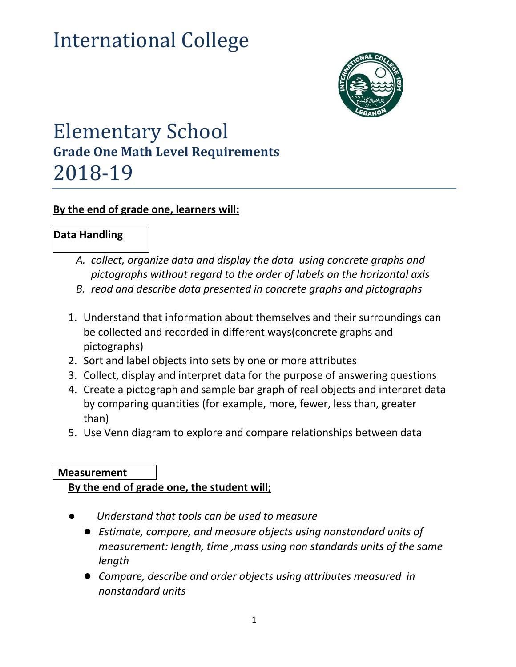# International College



# Elementary School **Grade One Math Level Requirements** 2018-19

#### **By the end of grade one, learners will:**

# **Data Handling**

- *A. collect, organize data and display the data using concrete graphs and pictographs without regard to the order of labels on the horizontal axis*
- *B. read and describe data presented in concrete graphs and pictographs*
- 1. Understand that information about themselves and their surroundings can be collected and recorded in different ways(concrete graphs and pictographs)
- 2. Sort and label objects into sets by one or more attributes
- 3. Collect, display and interpret data for the purpose of answering questions
- 4. Create a pictograph and sample bar graph of real objects and interpret data by comparing quantities (for example, more, fewer, less than, greater than)
- 5. Use Venn diagram to explore and compare relationships between data

#### **Measurement**

#### **By the end of grade one, the student will;**

- Understand that tools can be used to measure
	- *Estimate, compare, and measure objects using nonstandard units of measurement: length, time ,mass using non standards units of the same length*
	- *Compare, describe and order objects using attributes measured in nonstandard units*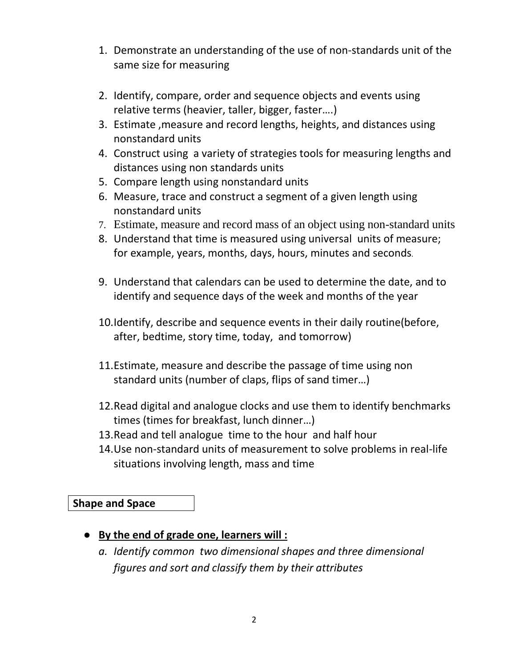- 1. Demonstrate an understanding of the use of non-standards unit of the same size for measuring
- 2. Identify, compare, order and sequence objects and events using relative terms (heavier, taller, bigger, faster….)
- 3. Estimate ,measure and record lengths, heights, and distances using nonstandard units
- 4. Construct using a variety of strategies tools for measuring lengths and distances using non standards units
- 5. Compare length using nonstandard units
- 6. Measure, trace and construct a segment of a given length using nonstandard units
- 7. Estimate, measure and record mass of an object using non-standard units
- 8. Understand that time is measured using universal units of measure; for example, years, months, days, hours, minutes and seconds.
- 9. Understand that calendars can be used to determine the date, and to identify and sequence days of the week and months of the year
- 10.Identify, describe and sequence events in their daily routine(before, after, bedtime, story time, today, and tomorrow)
- 11.Estimate, measure and describe the passage of time using non standard units (number of claps, flips of sand timer…)
- 12.Read digital and analogue clocks and use them to identify benchmarks times (times for breakfast, lunch dinner…)
- 13.Read and tell analogue time to the hour and half hour
- 14.Use non-standard units of measurement to solve problems in real-life situations involving length, mass and time

**Shape and Space**

- **By the end of grade one, learners will :**
	- *a. Identify common two dimensional shapes and three dimensional figures and sort and classify them by their attributes*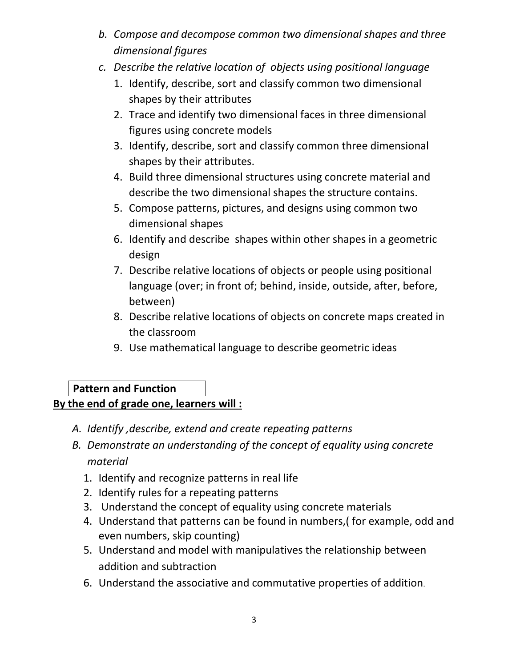- *b. Compose and decompose common two dimensional shapes and three dimensional figures*
- *c. Describe the relative location of objects using positional language*
	- 1. Identify, describe, sort and classify common two dimensional shapes by their attributes
	- 2. Trace and identify two dimensional faces in three dimensional figures using concrete models
	- 3. Identify, describe, sort and classify common three dimensional shapes by their attributes.
	- 4. Build three dimensional structures using concrete material and describe the two dimensional shapes the structure contains.
	- 5. Compose patterns, pictures, and designs using common two dimensional shapes
	- 6. Identify and describe shapes within other shapes in a geometric design
	- 7. Describe relative locations of objects or people using positional language (over; in front of; behind, inside, outside, after, before, between)
	- 8. Describe relative locations of objects on concrete maps created in the classroom
	- 9. Use mathematical language to describe geometric ideas

### **Pattern and Function By the end of grade one, learners will :**

- *A. Identify ,describe, extend and create repeating patterns*
- *B. Demonstrate an understanding of the concept of equality using concrete material*
	- 1. Identify and recognize patterns in real life
	- 2. Identify rules for a repeating patterns
	- 3. Understand the concept of equality using concrete materials
	- 4. Understand that patterns can be found in numbers,( for example, odd and even numbers, skip counting)
	- 5. Understand and model with manipulatives the relationship between addition and subtraction
	- 6. Understand the associative and commutative properties of addition.